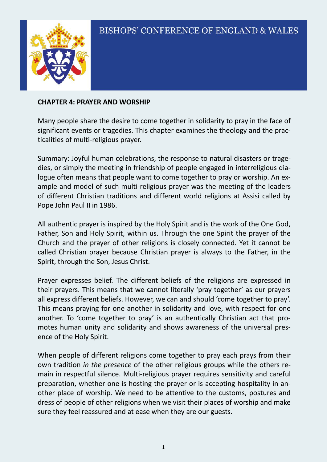

#### **CHAPTER 4: PRAYER AND WORSHIP**

Many people share the desire to come together in solidarity to pray in the face of significant events or tragedies. This chapter examines the theology and the practicalities of multi-religious prayer.

Summary: Joyful human celebrations, the response to natural disasters or tragedies, or simply the meeting in friendship of people engaged in interreligious dialogue often means that people want to come together to pray or worship. An example and model of such multi-religious prayer was the meeting of the leaders of different Christian traditions and different world religions at Assisi called by Pope John Paul II in 1986.

All authentic prayer is inspired by the Holy Spirit and is the work of the One God, Father, Son and Holy Spirit, within us. Through the one Spirit the prayer of the Church and the prayer of other religions is closely connected. Yet it cannot be called Christian prayer because Christian prayer is always to the Father, in the Spirit, through the Son, Jesus Christ.

Prayer expresses belief. The different beliefs of the religions are expressed in their prayers. This means that we cannot literally 'pray together' as our prayers all express different beliefs. However, we can and should 'come together to pray'. This means praying for one another in solidarity and love, with respect for one another. To 'come together to pray' is an authentically Christian act that promotes human unity and solidarity and shows awareness of the universal presence of the Holy Spirit.

When people of different religions come together to pray each prays from their own tradition *in the presence* of the other religious groups while the others remain in respectful silence. Multi-religious prayer requires sensitivity and careful preparation, whether one is hosting the prayer or is accepting hospitality in another place of worship. We need to be attentive to the customs, postures and dress of people of other religions when we visit their places of worship and make sure they feel reassured and at ease when they are our guests.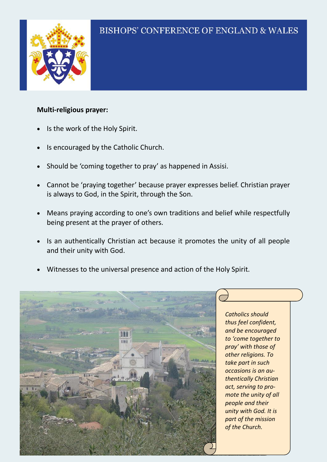

### **Multi-religious prayer:**

- Is the work of the Holy Spirit.
- Is encouraged by the Catholic Church.
- Should be 'coming together to pray' as happened in Assisi.
- Cannot be 'praying together' because prayer expresses belief. Christian prayer is always to God, in the Spirit, through the Son.
- Means praying according to one's own traditions and belief while respectfully being present at the prayer of others.
- Is an authentically Christian act because it promotes the unity of all people and their unity with God.
- Witnesses to the universal presence and action of the Holy Spirit.



*Catholics should thus feel confident, and be encouraged to 'come together to pray' with those of other religions. To take part in such occasions is an authentically Christian act, serving to promote the unity of all people and their unity with God. It is part of the mission of the Church.*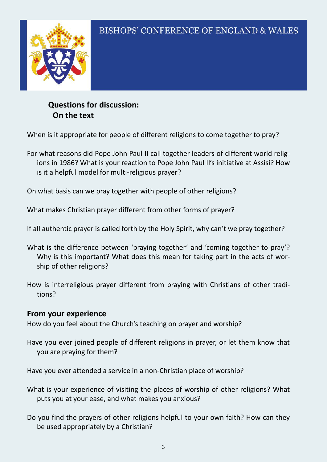**Questions for discussion: On the text**

When is it appropriate for people of different religions to come together to pray?

For what reasons did Pope John Paul II call together leaders of different world religions in 1986? What is your reaction to Pope John Paul II's initiative at Assisi? How is it a helpful model for multi-religious prayer?

On what basis can we pray together with people of other religions?

What makes Christian prayer different from other forms of prayer?

If all authentic prayer is called forth by the Holy Spirit, why can't we pray together?

- What is the difference between 'praying together' and 'coming together to pray'? Why is this important? What does this mean for taking part in the acts of worship of other religions?
- How is interreligious prayer different from praying with Christians of other traditions?

## **From your experience**

How do you feel about the Church's teaching on prayer and worship?

Have you ever joined people of different religions in prayer, or let them know that you are praying for them?

Have you ever attended a service in a non-Christian place of worship?

- What is your experience of visiting the places of worship of other religions? What puts you at your ease, and what makes you anxious?
- Do you find the prayers of other religions helpful to your own faith? How can they be used appropriately by a Christian?